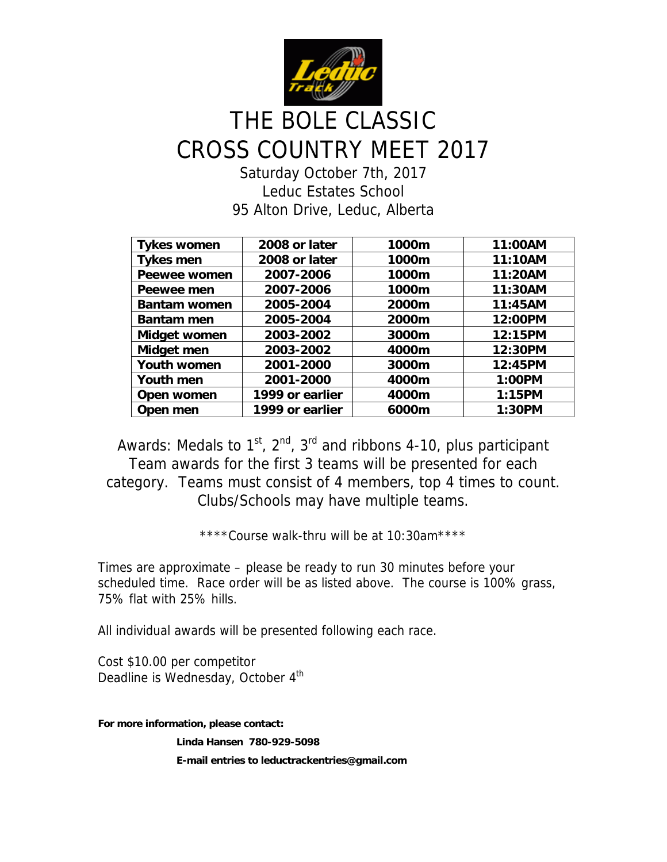

## THE BOLE CLASSIC CROSS COUNTRY MEET 2017

Saturday October 7th, 2017 Leduc Estates School 95 Alton Drive, Leduc, Alberta

| <b>Tykes women</b>  | 2008 or later   | 1000m | 11:00AM |
|---------------------|-----------------|-------|---------|
| <b>Tykes men</b>    | 2008 or later   | 1000m | 11:10AM |
| <b>Peewee women</b> | 2007-2006       | 1000m | 11:20AM |
| Peewee men          | 2007-2006       | 1000m | 11:30AM |
| <b>Bantam women</b> | 2005-2004       | 2000m | 11:45AM |
| <b>Bantam men</b>   | 2005-2004       | 2000m | 12:00PM |
| Midget women        | 2003-2002       | 3000m | 12:15PM |
| Midget men          | 2003-2002       | 4000m | 12:30PM |
| <b>Youth women</b>  | 2001-2000       | 3000m | 12:45PM |
| Youth men           | 2001-2000       | 4000m | 1:00PM  |
| Open women          | 1999 or earlier | 4000m | 1:15PM  |
| Open men            | 1999 or earlier | 6000m | 1:30PM  |

Awards: Medals to  $1^{st}$ ,  $2^{nd}$ ,  $3^{rd}$  and ribbons 4-10, plus participant Team awards for the first 3 teams will be presented for each category. Teams must consist of 4 members, top 4 times to count. Clubs/Schools may have multiple teams.

\*\*\*\*Course walk-thru will be at 10:30am\*\*\*\*

Times are approximate – please be ready to run 30 minutes before your scheduled time. Race order will be as listed above. The course is 100% grass, 75% flat with 25% hills.

All individual awards will be presented following each race.

Cost \$10.00 per competitor Deadline is Wednesday, October 4<sup>th</sup>

**For more information, please contact:** 

**Linda Hansen 780-929-5098 E-mail entries to leductrackentries@gmail.com**